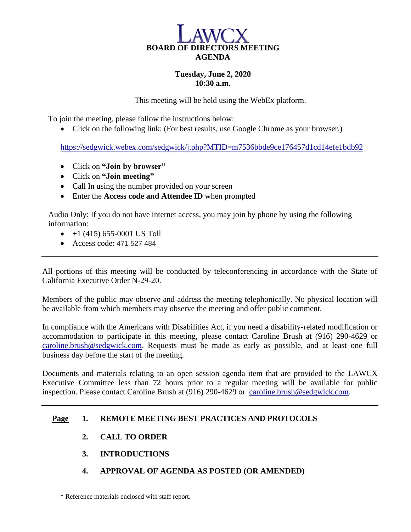

## **Tuesday, June 2, 2020 10:30 a.m.**

This meeting will be held using the WebEx platform.

To join the meeting, please follow the instructions below:

• Click on the following link: (For best results, use Google Chrome as your browser.)

<https://sedgwick.webex.com/sedgwick/j.php?MTID=m7536bbde9ce176457d1cd14efe1bdb92>

- Click on **"Join by browser"**
- Click on **"Join meeting"**
- Call In using the number provided on your screen
- Enter the **Access code and Attendee ID** when prompted

Audio Only: If you do not have internet access, you may join by phone by using the following information:

- $\bullet$  +1 (415) 655-0001 US Toll
- Access code: 471 527 484

All portions of this meeting will be conducted by teleconferencing in accordance with the State of California Executive Order N-29-20.

Members of the public may observe and address the meeting telephonically. No physical location will be available from which members may observe the meeting and offer public comment.

In compliance with the Americans with Disabilities Act, if you need a disability-related modification or accommodation to participate in this meeting, please contact Caroline Brush at (916) 290-4629 or [caroline.brush@sedgwick.com.](mailto:caroline.brush@sedgwick.com) Requests must be made as early as possible, and at least one full business day before the start of the meeting.

Documents and materials relating to an open session agenda item that are provided to the LAWCX Executive Committee less than 72 hours prior to a regular meeting will be available for public inspection. Please contact Caroline Brush at (916) 290-4629 or [caroline.brush@sedgwick.com.](mailto:caroline.brush@sedgwick.com)

### **Page 1. REMOTE MEETING BEST PRACTICES AND PROTOCOLS**

- **2. CALL TO ORDER**
- **3. INTRODUCTIONS**
- **4. APPROVAL OF AGENDA AS POSTED (OR AMENDED)**

\* Reference materials enclosed with staff report.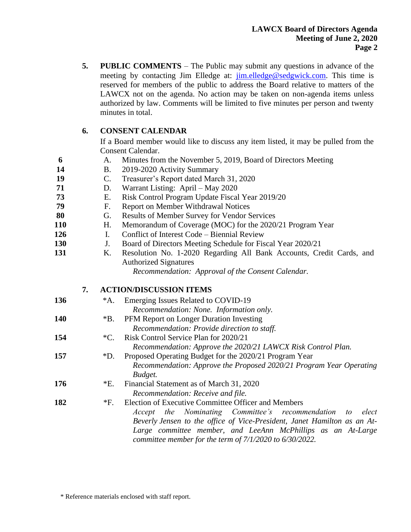**5. PUBLIC COMMENTS** – The Public may submit any questions in advance of the meeting by contacting Jim Elledge at: [jim.elledge@sedgwick.com.](mailto:jim.elledge@sedgwick.com) This time is reserved for members of the public to address the Board relative to matters of the LAWCX not on the agenda. No action may be taken on non-agenda items unless authorized by law. Comments will be limited to five minutes per person and twenty minutes in total.

# **6. CONSENT CALENDAR**

If a Board member would like to discuss any item listed, it may be pulled from the Consent Calendar.

- **6** A. Minutes from the November 5, 2019, Board of Directors Meeting
- **14** B. 2019-2020 Activity Summary
- **19** C. Treasurer's Report dated March 31, 2020
- **71** D. Warrant Listing: April May 2020
- **73** E. Risk Control Program Update Fiscal Year 2019/20
- **79** F. Report on Member Withdrawal Notices
- **80** G. Results of Member Survey for Vendor Services
- **110** H. Memorandum of Coverage (MOC) for the 2020/21 Program Year
- **126** I. Conflict of Interest Code – Biennial Review
- **130** J. Board of Directors Meeting Schedule for Fiscal Year 2020/21
- **131** K. Resolution No. 1-2020 Regarding All Bank Accounts, Credit Cards, and Authorized Signatures

*Recommendation: Approval of the Consent Calendar.*

## **7. ACTION/DISCUSSION ITEMS**

136 \*A. Emerging Issues Related to COVID-19 *Recommendation: None. Information only.* **140** \*B. PFM Report on Longer Duration Investing *Recommendation: Provide direction to staff.* **154** \*C. Risk Control Service Plan for 2020/21 *Recommendation: Approve the 2020/21 LAWCX Risk Control Plan.* **157** \*D. Proposed Operating Budget for the 2020/21 Program Year *Recommendation: Approve the Proposed 2020/21 Program Year Operating Budget.* **176** \*E. Financial Statement as of March 31, 2020 *Recommendation: Receive and file.* **182** \*F. Election of Executive Committee Officer and Members *Accept the Nominating Committee's recommendation to elect Beverly Jensen to the office of Vice-President, Janet Hamilton as an At-Large committee member, and LeeAnn McPhillips as an At-Large committee member for the term of 7/1/2020 to 6/30/2022.* 

\* Reference materials enclosed with staff report.